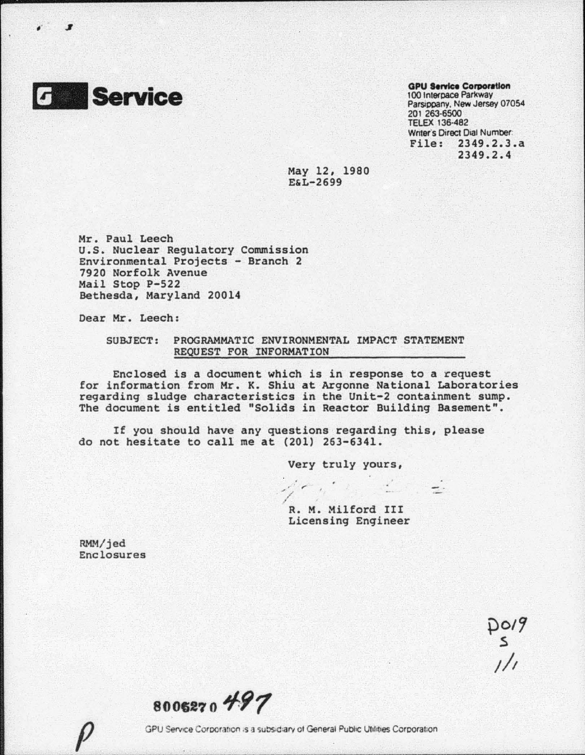

, . **.I** 

## **GPU Service Corporation** 100 Interpace Parkway Parsippany, New Jersey 07054 201 263·6500 TELEX 136-482 Writer's Direct Dial Number: File: 2349.2.3.a 2349.2.4

May 12, 1980 E&L-2699

Mr. Paul Leech u.s. Nuclear Regulatory Commission Environmental Projects - Branch 2 7920 Norfolk Avenue Mail Stop P-522 Bethesda, Maryland 20014

Dear Mr. Leech:

## SUBJECT: PROGRAMMATIC ENVIRONMENTAL IMPACT STATEMENT REQUEST FOR INFORMATION

Enclosed is a document which is in response to a request for information from Mr. K. Shiu at Argonne National Laboratories regarding sludge characteristics in the Unit-2 containment sump. The document is entitled "Solids in Reactor Building Basement".

,. *r* 

If you should have any questions regarding this, please do not hesitate to call me at (201) 263-6341 .

Very truly yours,

 $\frac{1}{\sqrt{2}}$ R. M. Milford III Licensing Engineer

RMM/jed Enclosures

po19<br>s<br>1/1

**8006270497**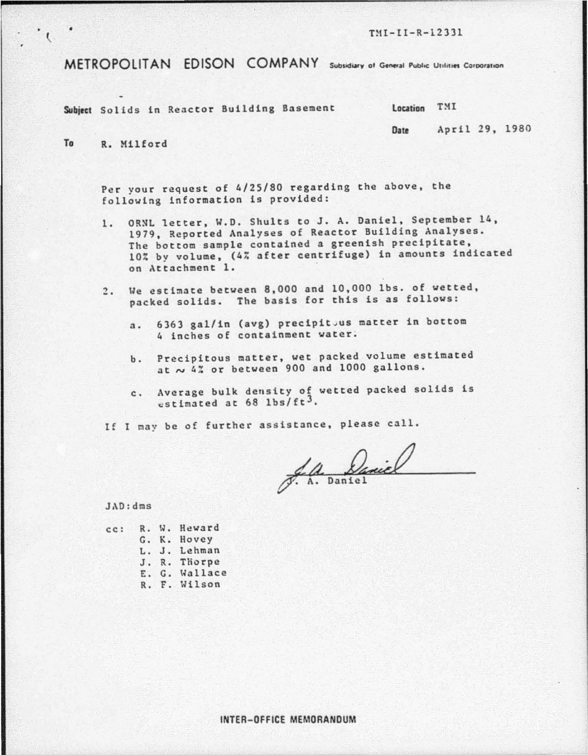$TMI-II-R-12331$ 

METROPOLITAN EDISON COMPANY Subsidiary of General Public Utilities Corporation

Subject Solids in Reactor Building Basement Location TMI

Date April 29, 1980

To R. Milford

 $\cdot$ 

Per your request of 4/25/80 regarding the above, the following information is provided:

- 1. ORNL letter, W.D. Shults to J. A. Daniel, September 14, 1979, Reported Analyses of Reactor Building Analyses. The bottom sample contained a greenish precipitate, 10% by volume, (4h after centrifuge) in amounts indicated on Attachment 1.
- 2. Ue estimate between 8,000 and 10.000 lbs. of wetted. packed solids. The basis for this is as follows:
	- a. 6363 gal/in (avg) precipitous matter in bottom 4 inches of containment water.
	- b. Precipitous matter, wet packed volume estimated at  $\sim$  4% or between 900 and 1000 gallons.
	- c. Average bulk density of wetted packed solids is  $estimated$  at 68 lbs/ft<sup>3</sup>.

If I may be of further assistance, please call.

S. A. Daniel

JAD:dms

| cc: |  | R. W. Heward  |
|-----|--|---------------|
|     |  | G. K. Hovey   |
|     |  | L. J. Lehman  |
|     |  | J. R. Thorpe  |
|     |  | E. G. Wallace |
|     |  | R. F. Wilson  |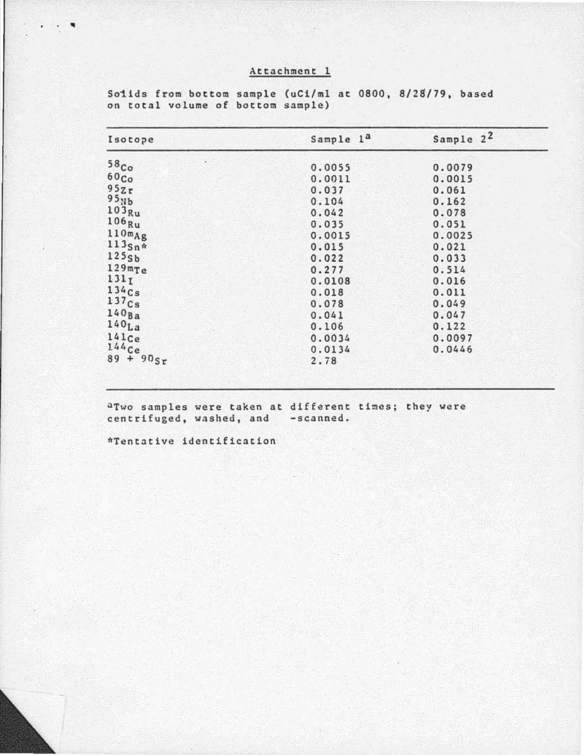## Attachment 1

Sample 2<sup>2</sup> Sample 1<sup>a</sup> Isotope  $58<sub>Co</sub>$  $0.0055$ 0.0079  $60<sub>Co</sub>$  $0.0011$  $0.0015$  $952r$  $0.037$  $0.061$  $95<sub>Nb</sub>$  $0.104$  $0.162$  $103$ <sub>Ru</sub>  $0.042$ 0.078  $106_{Ru}$  $0.035$  $0.051$  $110mg$  $0.0015$  $0.0025$  $113$ Sn\*  $0.015$  $0.021$  $1255h$  $0.022$  $0.033$  $129mTe$  $0.277$  $0.514$  $131<sub>I</sub>$  $0.0108$  $0.016$  $134Cs$  $0.018$  $0.011$  $137c<sub>s</sub>$ 0.078  $0.049$  $140<sub>Ba</sub>$  $0.047$  $0.041$  $140<sub>La</sub>$  $0.106$  $0.122$  $141c<sub>e</sub>$  $0.0034$ 0.0097  $144$  Ce<br>89 + 90<sub>Sr</sub> 0.0134 0.0446 2.78

Solids from bottom sample (uCi/ml at 0800, 8/28/79, based on total volume of bottom sample)

aTwo samples were taken at different times; they were centrifuged, washed, and -scanned.

\*Tentative identification

 $\bullet \qquad \bullet$  $\blacksquare$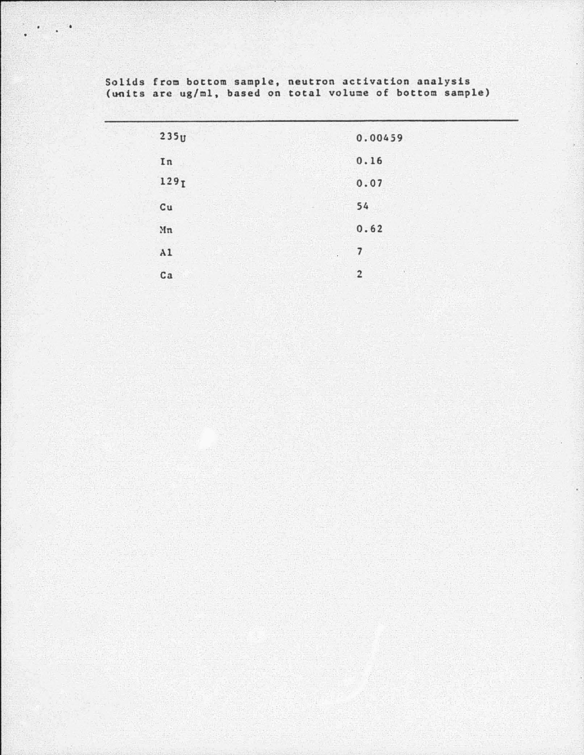| 235 <sub>U</sub> | 0.00459                            |
|------------------|------------------------------------|
| In               | 0.16                               |
| 129 <sub>I</sub> | 0.07                               |
| Cu               | 54                                 |
| Mn               | 0.62                               |
| A1<br>$\epsilon$ | 7                                  |
| ca               | $\tilde{\sigma}$<br>$\overline{2}$ |
|                  |                                    |

Solids from bottom sample, neutron activation analysis (units are ug/ml, based on total volume of bottom sample)

 $\mathcal{A}^{\mathcal{A}}$  , and  $\mathcal{A}^{\mathcal{A}}$